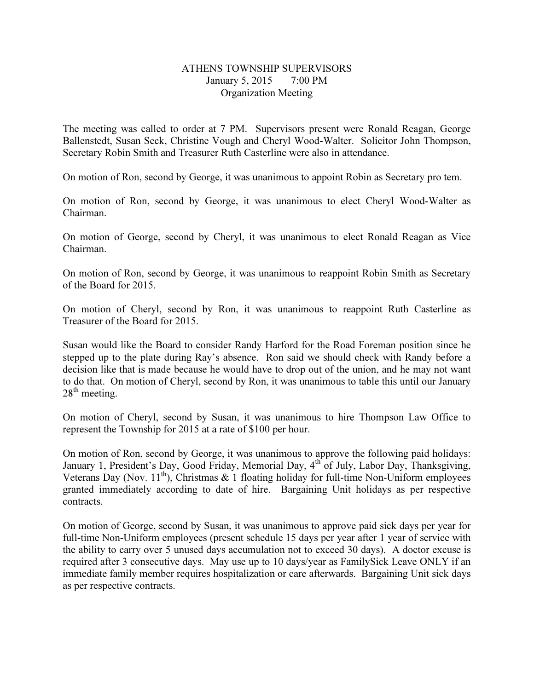## ATHENS TOWNSHIP SUPERVISORS January 5, 2015 7:00 PM Organization Meeting

The meeting was called to order at 7 PM. Supervisors present were Ronald Reagan, George Ballenstedt, Susan Seck, Christine Vough and Cheryl Wood-Walter. Solicitor John Thompson, Secretary Robin Smith and Treasurer Ruth Casterline were also in attendance.

On motion of Ron, second by George, it was unanimous to appoint Robin as Secretary pro tem.

On motion of Ron, second by George, it was unanimous to elect Cheryl Wood-Walter as Chairman.

On motion of George, second by Cheryl, it was unanimous to elect Ronald Reagan as Vice Chairman.

On motion of Ron, second by George, it was unanimous to reappoint Robin Smith as Secretary of the Board for 2015.

On motion of Cheryl, second by Ron, it was unanimous to reappoint Ruth Casterline as Treasurer of the Board for 2015.

Susan would like the Board to consider Randy Harford for the Road Foreman position since he stepped up to the plate during Ray's absence. Ron said we should check with Randy before a decision like that is made because he would have to drop out of the union, and he may not want to do that. On motion of Cheryl, second by Ron, it was unanimous to table this until our January  $28<sup>th</sup>$  meeting.

On motion of Cheryl, second by Susan, it was unanimous to hire Thompson Law Office to represent the Township for 2015 at a rate of \$100 per hour.

On motion of Ron, second by George, it was unanimous to approve the following paid holidays: January 1, President's Day, Good Friday, Memorial Day, 4<sup>th</sup> of July, Labor Day, Thanksgiving, Veterans Day (Nov. 11<sup>th</sup>), Christmas & 1 floating holiday for full-time Non-Uniform employees granted immediately according to date of hire. Bargaining Unit holidays as per respective contracts.

On motion of George, second by Susan, it was unanimous to approve paid sick days per year for full-time Non-Uniform employees (present schedule 15 days per year after 1 year of service with the ability to carry over 5 unused days accumulation not to exceed 30 days). A doctor excuse is required after 3 consecutive days. May use up to 10 days/year as FamilySick Leave ONLY if an immediate family member requires hospitalization or care afterwards. Bargaining Unit sick days as per respective contracts.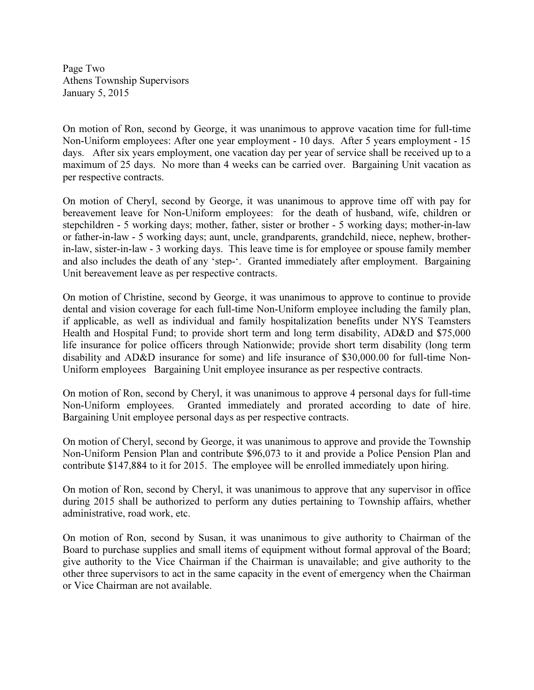Page Two Athens Township Supervisors January 5, 2015

On motion of Ron, second by George, it was unanimous to approve vacation time for full-time Non-Uniform employees: After one year employment - 10 days. After 5 years employment - 15 days. After six years employment, one vacation day per year of service shall be received up to a maximum of 25 days. No more than 4 weeks can be carried over. Bargaining Unit vacation as per respective contracts.

On motion of Cheryl, second by George, it was unanimous to approve time off with pay for bereavement leave for Non-Uniform employees: for the death of husband, wife, children or stepchildren - 5 working days; mother, father, sister or brother - 5 working days; mother-in-law or father-in-law - 5 working days; aunt, uncle, grandparents, grandchild, niece, nephew, brotherin-law, sister-in-law - 3 working days. This leave time is for employee or spouse family member and also includes the death of any 'step-'. Granted immediately after employment. Bargaining Unit bereavement leave as per respective contracts.

On motion of Christine, second by George, it was unanimous to approve to continue to provide dental and vision coverage for each full-time Non-Uniform employee including the family plan, if applicable, as well as individual and family hospitalization benefits under NYS Teamsters Health and Hospital Fund; to provide short term and long term disability, AD&D and \$75,000 life insurance for police officers through Nationwide; provide short term disability (long term disability and AD&D insurance for some) and life insurance of \$30,000.00 for full-time Non-Uniform employees Bargaining Unit employee insurance as per respective contracts.

On motion of Ron, second by Cheryl, it was unanimous to approve 4 personal days for full-time Non-Uniform employees. Granted immediately and prorated according to date of hire. Bargaining Unit employee personal days as per respective contracts.

On motion of Cheryl, second by George, it was unanimous to approve and provide the Township Non-Uniform Pension Plan and contribute \$96,073 to it and provide a Police Pension Plan and contribute \$147,884 to it for 2015. The employee will be enrolled immediately upon hiring.

On motion of Ron, second by Cheryl, it was unanimous to approve that any supervisor in office during 2015 shall be authorized to perform any duties pertaining to Township affairs, whether administrative, road work, etc.

On motion of Ron, second by Susan, it was unanimous to give authority to Chairman of the Board to purchase supplies and small items of equipment without formal approval of the Board; give authority to the Vice Chairman if the Chairman is unavailable; and give authority to the other three supervisors to act in the same capacity in the event of emergency when the Chairman or Vice Chairman are not available.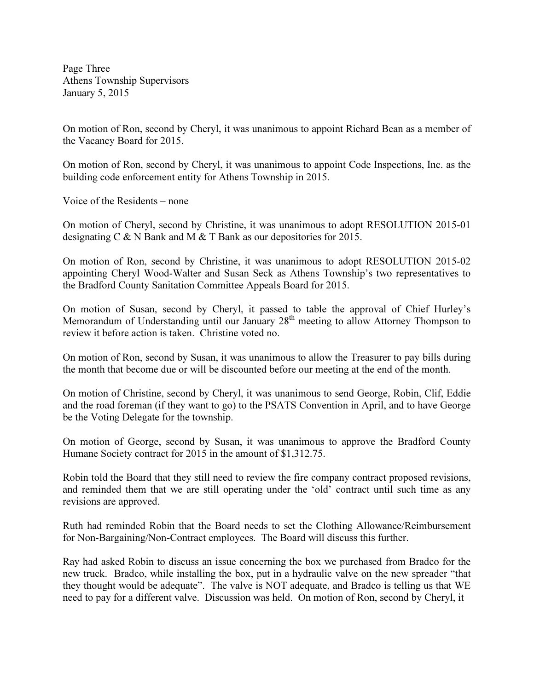Page Three Athens Township Supervisors January 5, 2015

On motion of Ron, second by Cheryl, it was unanimous to appoint Richard Bean as a member of the Vacancy Board for 2015.

On motion of Ron, second by Cheryl, it was unanimous to appoint Code Inspections, Inc. as the building code enforcement entity for Athens Township in 2015.

Voice of the Residents – none

On motion of Cheryl, second by Christine, it was unanimous to adopt RESOLUTION 2015-01 designating C & N Bank and M & T Bank as our depositories for 2015.

On motion of Ron, second by Christine, it was unanimous to adopt RESOLUTION 2015-02 appointing Cheryl Wood-Walter and Susan Seck as Athens Township's two representatives to the Bradford County Sanitation Committee Appeals Board for 2015.

On motion of Susan, second by Cheryl, it passed to table the approval of Chief Hurley's Memorandum of Understanding until our January 28<sup>th</sup> meeting to allow Attorney Thompson to review it before action is taken. Christine voted no.

On motion of Ron, second by Susan, it was unanimous to allow the Treasurer to pay bills during the month that become due or will be discounted before our meeting at the end of the month.

On motion of Christine, second by Cheryl, it was unanimous to send George, Robin, Clif, Eddie and the road foreman (if they want to go) to the PSATS Convention in April, and to have George be the Voting Delegate for the township.

On motion of George, second by Susan, it was unanimous to approve the Bradford County Humane Society contract for 2015 in the amount of \$1,312.75.

Robin told the Board that they still need to review the fire company contract proposed revisions, and reminded them that we are still operating under the 'old' contract until such time as any revisions are approved.

Ruth had reminded Robin that the Board needs to set the Clothing Allowance/Reimbursement for Non-Bargaining/Non-Contract employees. The Board will discuss this further.

Ray had asked Robin to discuss an issue concerning the box we purchased from Bradco for the new truck. Bradco, while installing the box, put in a hydraulic valve on the new spreader "that they thought would be adequate". The valve is NOT adequate, and Bradco is telling us that WE need to pay for a different valve. Discussion was held. On motion of Ron, second by Cheryl, it